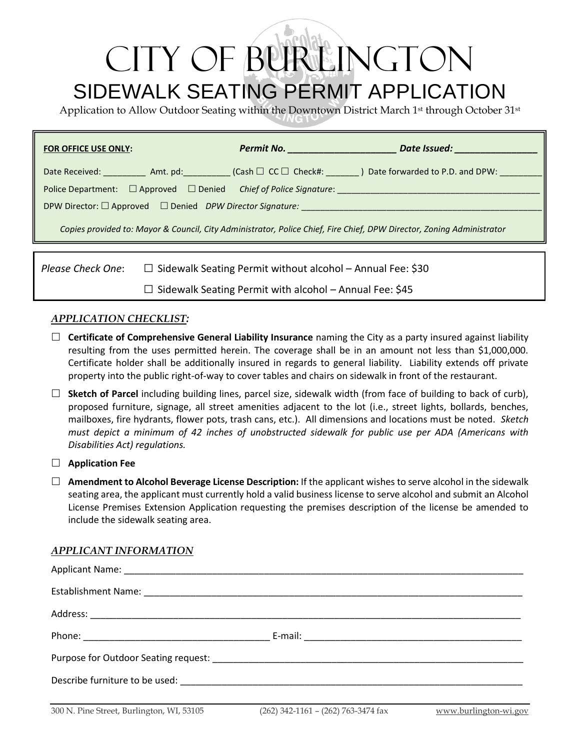# CITY OF BURLINGTON SIDEWALK SEATING PERMIT APPLICATION

Application to Allow Outdoor Seating within the Downtown District March 1<sup>st</sup> through October 31<sup>st</sup>

| <b>FOR OFFICE USE ONLY:</b>                                                                                           |                                                                   |                                                                |  |  |  |
|-----------------------------------------------------------------------------------------------------------------------|-------------------------------------------------------------------|----------------------------------------------------------------|--|--|--|
|                                                                                                                       |                                                                   |                                                                |  |  |  |
| Police Department: □ Approved □ Denied Chief of Police Signature: ______________                                      |                                                                   |                                                                |  |  |  |
| DPW Director: $\square$ Approved $\square$ Denied DPW Director Signature:                                             |                                                                   |                                                                |  |  |  |
| Copies provided to: Mayor & Council, City Administrator, Police Chief, Fire Chief, DPW Director, Zoning Administrator |                                                                   |                                                                |  |  |  |
|                                                                                                                       |                                                                   |                                                                |  |  |  |
| Please Check One:                                                                                                     | $\Box$ Sidewalk Seating Permit without alcohol – Annual Fee: \$30 |                                                                |  |  |  |
|                                                                                                                       |                                                                   | $\Box$ Sidewalk Seating Permit with alcohol – Annual Fee: \$45 |  |  |  |

#### *APPLICATION CHECKLIST:*

- **Certificate of Comprehensive General Liability Insurance** naming the City as a party insured against liability resulting from the uses permitted herein. The coverage shall be in an amount not less than \$1,000,000. Certificate holder shall be additionally insured in regards to general liability. Liability extends off private property into the public right-of-way to cover tables and chairs on sidewalk in front of the restaurant.
- **Sketch of Parcel** including building lines, parcel size, sidewalk width (from face of building to back of curb), proposed furniture, signage, all street amenities adjacent to the lot (i.e., street lights, bollards, benches, mailboxes, fire hydrants, flower pots, trash cans, etc.). All dimensions and locations must be noted. *Sketch must depict a minimum of 42 inches of unobstructed sidewalk for public use per ADA (Americans with Disabilities Act) regulations.*

#### **Application Fee**

 **Amendment to Alcohol Beverage License Description:** If the applicant wishes to serve alcohol in the sidewalk seating area, the applicant must currently hold a valid business license to serve alcohol and submit an Alcohol License Premises Extension Application requesting the premises description of the license be amended to include the sidewalk seating area.

#### *APPLICANT INFORMATION*